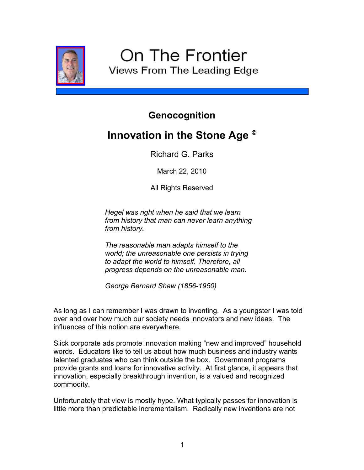

## **Genocognition**

## **Innovation in the Stone Age ©**

Richard G. Parks

March 22, 2010

All Rights Reserved

*Hegel was right when he said that we learn from history that man can never learn anything from history.*

*The reasonable man adapts himself to the world; the unreasonable one persists in trying to adapt the world to himself. Therefore, all progress depends on the unreasonable man.*

*George Bernard Shaw (1856-1950)*

As long as I can remember I was drawn to inventing. As a youngster I was told over and over how much our society needs innovators and new ideas. The influences of this notion are everywhere.

Slick corporate ads promote innovation making "new and improved" household words. Educators like to tell us about how much business and industry wants talented graduates who can think outside the box. Government programs provide grants and loans for innovative activity. At first glance, it appears that innovation, especially breakthrough invention, is a valued and recognized commodity.

Unfortunately that view is mostly hype. What typically passes for innovation is little more than predictable incrementalism. Radically new inventions are not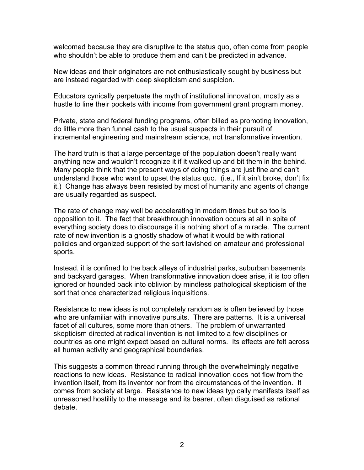welcomed because they are disruptive to the status quo, often come from people who shouldn't be able to produce them and can't be predicted in advance.

New ideas and their originators are not enthusiastically sought by business but are instead regarded with deep skepticism and suspicion.

Educators cynically perpetuate the myth of institutional innovation, mostly as a hustle to line their pockets with income from government grant program money.

Private, state and federal funding programs, often billed as promoting innovation, do little more than funnel cash to the usual suspects in their pursuit of incremental engineering and mainstream science, not transformative invention.

The hard truth is that a large percentage of the population doesn't really want anything new and wouldn't recognize it if it walked up and bit them in the behind. Many people think that the present ways of doing things are just fine and can't understand those who want to upset the status quo. (i.e., If it ain't broke, don't fix it.) Change has always been resisted by most of humanity and agents of change are usually regarded as suspect.

The rate of change may well be accelerating in modern times but so too is opposition to it. The fact that breakthrough innovation occurs at all in spite of everything society does to discourage it is nothing short of a miracle. The current rate of new invention is a ghostly shadow of what it would be with rational policies and organized support of the sort lavished on amateur and professional sports.

Instead, it is confined to the back alleys of industrial parks, suburban basements and backyard garages. When transformative innovation does arise, it is too often ignored or hounded back into oblivion by mindless pathological skepticism of the sort that once characterized religious inquisitions.

Resistance to new ideas is not completely random as is often believed by those who are unfamiliar with innovative pursuits. There are patterns. It is a universal facet of all cultures, some more than others. The problem of unwarranted skepticism directed at radical invention is not limited to a few disciplines or countries as one might expect based on cultural norms. Its effects are felt across all human activity and geographical boundaries.

This suggests a common thread running through the overwhelmingly negative reactions to new ideas. Resistance to radical innovation does not flow from the invention itself, from its inventor nor from the circumstances of the invention. It comes from society at large. Resistance to new ideas typically manifests itself as unreasoned hostility to the message and its bearer, often disguised as rational debate.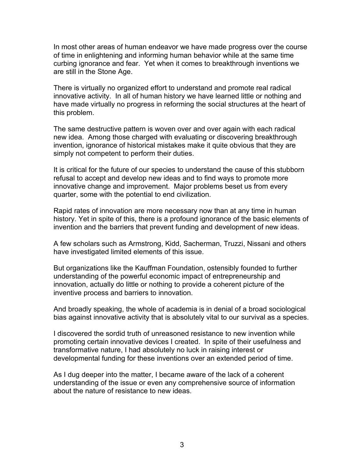In most other areas of human endeavor we have made progress over the course of time in enlightening and informing human behavior while at the same time curbing ignorance and fear. Yet when it comes to breakthrough inventions we are still in the Stone Age.

There is virtually no organized effort to understand and promote real radical innovative activity. In all of human history we have learned little or nothing and have made virtually no progress in reforming the social structures at the heart of this problem.

The same destructive pattern is woven over and over again with each radical new idea. Among those charged with evaluating or discovering breakthrough invention, ignorance of historical mistakes make it quite obvious that they are simply not competent to perform their duties.

It is critical for the future of our species to understand the cause of this stubborn refusal to accept and develop new ideas and to find ways to promote more innovative change and improvement. Major problems beset us from every quarter, some with the potential to end civilization.

Rapid rates of innovation are more necessary now than at any time in human history. Yet in spite of this, there is a profound ignorance of the basic elements of invention and the barriers that prevent funding and development of new ideas.

A few scholars such as Armstrong, Kidd, Sacherman, Truzzi, Nissani and others have investigated limited elements of this issue.

But organizations like the Kauffman Foundation, ostensibly founded to further understanding of the powerful economic impact of entrepreneurship and innovation, actually do little or nothing to provide a coherent picture of the inventive process and barriers to innovation.

And broadly speaking, the whole of academia is in denial of a broad sociological bias against innovative activity that is absolutely vital to our survival as a species.

I discovered the sordid truth of unreasoned resistance to new invention while promoting certain innovative devices I created. In spite of their usefulness and transformative nature, I had absolutely no luck in raising interest or developmental funding for these inventions over an extended period of time.

As I dug deeper into the matter, I became aware of the lack of a coherent understanding of the issue or even any comprehensive source of information about the nature of resistance to new ideas.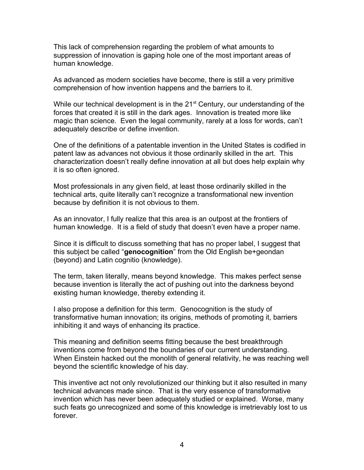This lack of comprehension regarding the problem of what amounts to suppression of innovation is gaping hole one of the most important areas of human knowledge.

As advanced as modern societies have become, there is still a very primitive comprehension of how invention happens and the barriers to it.

While our technical development is in the  $21<sup>st</sup>$  Century, our understanding of the forces that created it is still in the dark ages. Innovation is treated more like magic than science. Even the legal community, rarely at a loss for words, can't adequately describe or define invention.

One of the definitions of a patentable invention in the United States is codified in patent law as advances not obvious it those ordinarily skilled in the art. This characterization doesn't really define innovation at all but does help explain why it is so often ignored.

Most professionals in any given field, at least those ordinarily skilled in the technical arts, quite literally can't recognize a transformational new invention because by definition it is not obvious to them.

As an innovator, I fully realize that this area is an outpost at the frontiers of human knowledge. It is a field of study that doesn't even have a proper name.

Since it is difficult to discuss something that has no proper label, I suggest that this subject be called "**genocognition**" from the Old English be+geondan (beyond) and Latin cognitio (knowledge).

The term, taken literally, means beyond knowledge. This makes perfect sense because invention is literally the act of pushing out into the darkness beyond existing human knowledge, thereby extending it.

I also propose a definition for this term. Genocognition is the study of transformative human innovation; its origins, methods of promoting it, barriers inhibiting it and ways of enhancing its practice.

This meaning and definition seems fitting because the best breakthrough inventions come from beyond the boundaries of our current understanding. When Einstein hacked out the monolith of general relativity, he was reaching well beyond the scientific knowledge of his day.

This inventive act not only revolutionized our thinking but it also resulted in many technical advances made since. That is the very essence of transformative invention which has never been adequately studied or explained. Worse, many such feats go unrecognized and some of this knowledge is irretrievably lost to us forever.